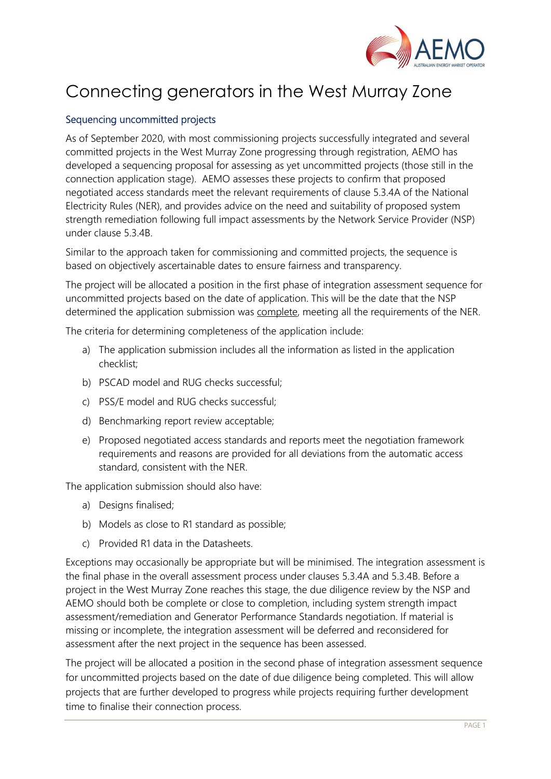

## Connecting generators in the West Murray Zone

## Sequencing uncommitted projects

As of September 2020, with most commissioning projects successfully integrated and several committed projects in the West Murray Zone progressing through registration, AEMO has developed a sequencing proposal for assessing as yet uncommitted projects (those still in the connection application stage). AEMO assesses these projects to confirm that proposed negotiated access standards meet the relevant requirements of clause 5.3.4A of the National Electricity Rules (NER), and provides advice on the need and suitability of proposed system strength remediation following full impact assessments by the Network Service Provider (NSP) under clause 5.3.4B.

Similar to the approach taken for commissioning and committed projects, the sequence is based on objectively ascertainable dates to ensure fairness and transparency.

The project will be allocated a position in the first phase of integration assessment sequence for uncommitted projects based on the date of application. This will be the date that the NSP determined the application submission was complete, meeting all the requirements of the NER.

The criteria for determining completeness of the application include:

- a) The application submission includes all the information as listed in the application checklist;
- b) PSCAD model and RUG checks successful;
- c) PSS/E model and RUG checks successful;
- d) Benchmarking report review acceptable;
- e) Proposed negotiated access standards and reports meet the negotiation framework requirements and reasons are provided for all deviations from the automatic access standard, consistent with the NER.

The application submission should also have:

- a) Designs finalised;
- b) Models as close to R1 standard as possible;
- c) Provided R1 data in the Datasheets.

Exceptions may occasionally be appropriate but will be minimised. The integration assessment is the final phase in the overall assessment process under clauses 5.3.4A and 5.3.4B. Before a project in the West Murray Zone reaches this stage, the due diligence review by the NSP and AEMO should both be complete or close to completion, including system strength impact assessment/remediation and Generator Performance Standards negotiation. If material is missing or incomplete, the integration assessment will be deferred and reconsidered for assessment after the next project in the sequence has been assessed.

The project will be allocated a position in the second phase of integration assessment sequence for uncommitted projects based on the date of due diligence being completed. This will allow projects that are further developed to progress while projects requiring further development time to finalise their connection process.